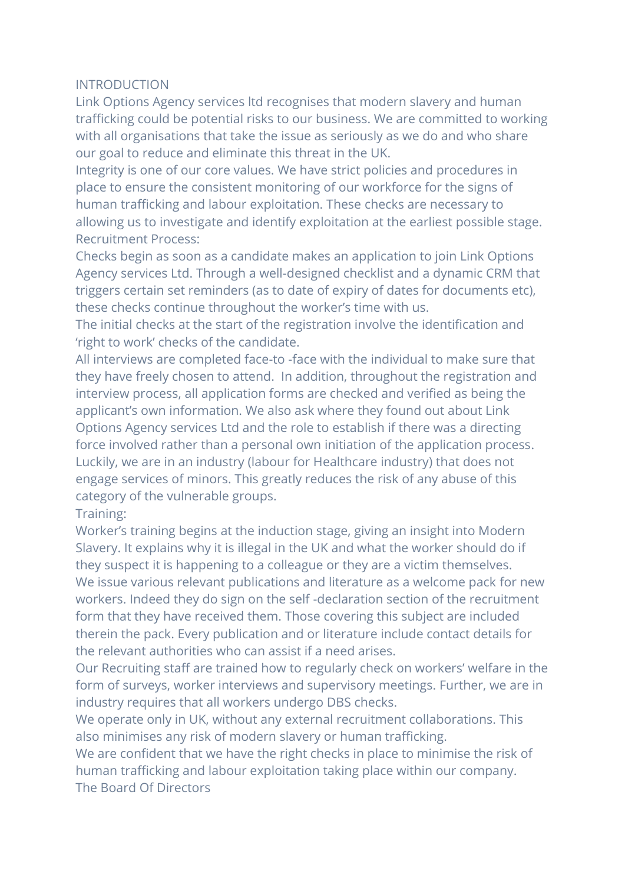## INTRODUCTION

Link Options Agency services ltd recognises that modern slavery and human trafficking could be potential risks to our business. We are committed to working with all organisations that take the issue as seriously as we do and who share our goal to reduce and eliminate this threat in the UK.

Integrity is one of our core values. We have strict policies and procedures in place to ensure the consistent monitoring of our workforce for the signs of human trafficking and labour exploitation. These checks are necessary to allowing us to investigate and identify exploitation at the earliest possible stage. Recruitment Process:

Checks begin as soon as a candidate makes an application to join Link Options Agency services Ltd. Through a well-designed checklist and a dynamic CRM that triggers certain set reminders (as to date of expiry of dates for documents etc), these checks continue throughout the worker's time with us.

The initial checks at the start of the registration involve the identification and 'right to work' checks of the candidate.

All interviews are completed face-to -face with the individual to make sure that they have freely chosen to attend. In addition, throughout the registration and interview process, all application forms are checked and verified as being the applicant's own information. We also ask where they found out about Link Options Agency services Ltd and the role to establish if there was a directing force involved rather than a personal own initiation of the application process. Luckily, we are in an industry (labour for Healthcare industry) that does not engage services of minors. This greatly reduces the risk of any abuse of this category of the vulnerable groups.

## Training:

Worker's training begins at the induction stage, giving an insight into Modern Slavery. It explains why it is illegal in the UK and what the worker should do if they suspect it is happening to a colleague or they are a victim themselves. We issue various relevant publications and literature as a welcome pack for new workers. Indeed they do sign on the self -declaration section of the recruitment form that they have received them. Those covering this subject are included therein the pack. Every publication and or literature include contact details for the relevant authorities who can assist if a need arises.

Our Recruiting staff are trained how to regularly check on workers' welfare in the form of surveys, worker interviews and supervisory meetings. Further, we are in industry requires that all workers undergo DBS checks.

We operate only in UK, without any external recruitment collaborations. This also minimises any risk of modern slavery or human trafficking.

We are confident that we have the right checks in place to minimise the risk of human trafficking and labour exploitation taking place within our company. The Board Of Directors